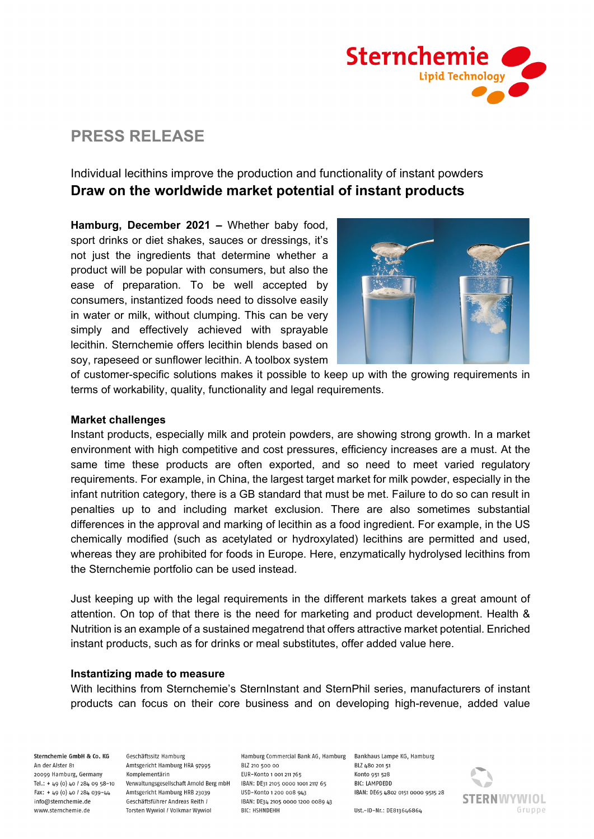

# **PRESS RELEASE**

## Individual lecithins improve the production and functionality of instant powders **Draw on the worldwide market potential of instant products**

**Hamburg, December 2021 –** Whether baby food, sport drinks or diet shakes, sauces or dressings, it's not just the ingredients that determine whether a product will be popular with consumers, but also the ease of preparation. To be well accepted by consumers, instantized foods need to dissolve easily in water or milk, without clumping. This can be very simply and effectively achieved with sprayable lecithin. Sternchemie offers lecithin blends based on soy, rapeseed or sunflower lecithin. A toolbox system



of customer-specific solutions makes it possible to keep up with the growing requirements in terms of workability, quality, functionality and legal requirements.

#### **Market challenges**

Instant products, especially milk and protein powders, are showing strong growth. In a market environment with high competitive and cost pressures, efficiency increases are a must. At the same time these products are often exported, and so need to meet varied regulatory requirements. For example, in China, the largest target market for milk powder, especially in the infant nutrition category, there is a GB standard that must be met. Failure to do so can result in penalties up to and including market exclusion. There are also sometimes substantial differences in the approval and marking of lecithin as a food ingredient. For example, in the US chemically modified (such as acetylated or hydroxylated) lecithins are permitted and used, whereas they are prohibited for foods in Europe. Here, enzymatically hydrolysed lecithins from the Sternchemie portfolio can be used instead.

Just keeping up with the legal requirements in the different markets takes a great amount of attention. On top of that there is the need for marketing and product development. Health & Nutrition is an example of a sustained megatrend that offers attractive market potential. Enriched instant products, such as for drinks or meal substitutes, offer added value here.

#### **Instantizing made to measure**

With lecithins from Sternchemie's SternInstant and SternPhil series, manufacturers of instant products can focus on their core business and on developing high-revenue, added value

Sternchemie GmbH & Co. KG An der Alster 81

20099 Hamburg, Germany Tel.: + 49 (0) 40 / 284 09 58-10 Fax: + 49 (0) 40 / 284 039-44 info@sternchemie.de www.sternchemie.de

Geschäftssitz Hamburg Amtsgericht Hamburg HRA 97995 Komplementärin Verwaltungsgesellschaft Arnold Berg mbH Amtsgericht Hamburg HRB 23039 Geschäftsführer Andreas Reith / Torsten Wywiol / Volkmar Wywiol

Hamburg Commercial Bank AG, Hamburg Bankhaus Lampe KG, Hamburg BLZ 210 500 00 EUR-Konto 1 001 211 765 IBAN: DE31 2105 0000 1001 2117 65 USD-Konto 1 200 008 943 IBAN: DE34 2105 0000 1200 0089 43 **BIC: HSHNDEHH** 

**RI7 680 20151** Konto 951 528 **BIC: LAMPDEDD** IBAN: DE65 4802 0151 0000 9515 28



Ust .- ID-Nr .: DE813646864